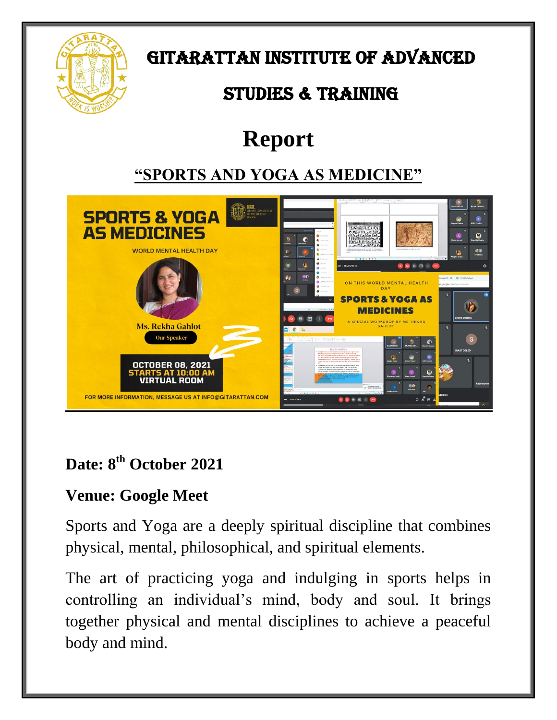

GITARATTAN INSTITUTE OF ADVANCED

# STUDIES & TRAINING

# **Report**

### **"SPORTS AND YOGA AS MEDICINE"**



#### **Date: 8th October 2021**

#### **Venue: Google Meet**

Sports and Yoga are a deeply spiritual discipline that combines physical, mental, philosophical, and spiritual elements.

The art of practicing yoga and indulging in sports helps in controlling an individual's mind, body and soul. It brings together physical and mental disciplines to achieve a peaceful body and mind.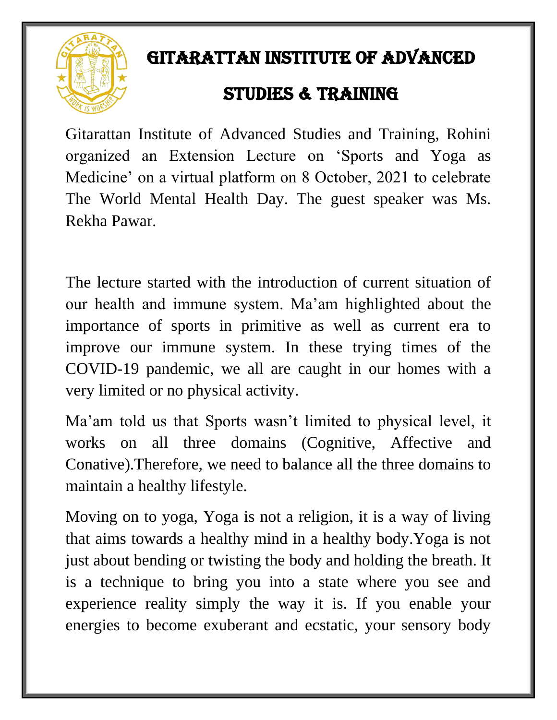

## GITARATTAN INSTITUTE OF ADVANCED

## STUDIES & TRAINING

Gitarattan Institute of Advanced Studies and Training, Rohini organized an Extension Lecture on 'Sports and Yoga as Medicine' on a virtual platform on 8 October, 2021 to celebrate The World Mental Health Day. The guest speaker was Ms. Rekha Pawar.

The lecture started with the introduction of current situation of our health and immune system. Ma'am highlighted about the importance of sports in primitive as well as current era to improve our immune system. In these trying times of the COVID-19 pandemic, we all are caught in our homes with a very limited or no physical activity.

Ma'am told us that Sports wasn't limited to physical level, it works on all three domains (Cognitive, Affective and Conative).Therefore, we need to balance all the three domains to maintain a healthy lifestyle.

Moving on to yoga, Yoga is not a religion, it is a way of living that aims towards a healthy mind in a healthy body.Yoga is not just about bending or twisting the body and holding the breath. It is a technique to bring you into a state where you see and experience reality simply the way it is. If you enable your energies to become exuberant and ecstatic, your sensory body